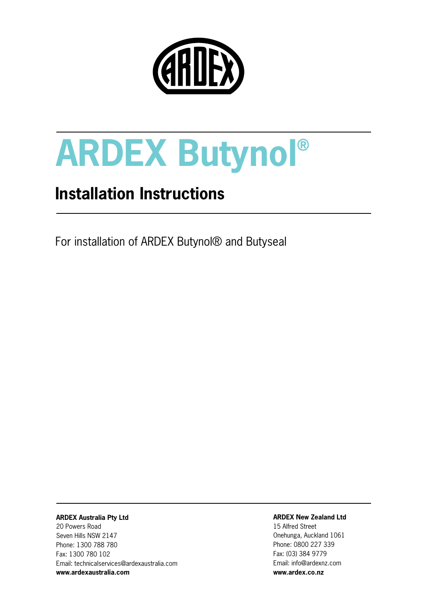

## **Installation Instructions**

For installation of ARDEX Butynol® and Butyseal

#### **ARDEX Australia Pty Ltd**

20 Powers Road Seven Hills NSW 2147 Phone: 1300 788 780 Fax: 1300 780 102 Email: technicalservices@ardexaustralia.com **www.ardexaustralia.com** 

#### **ARDEX New Zealand Ltd**

15 Alfred Street Onehunga, Auckland 1061 Phone: 0800 227 339 Fax: (03) 384 9779 Email: info@ardexnz.com **www.ardex.co.nz**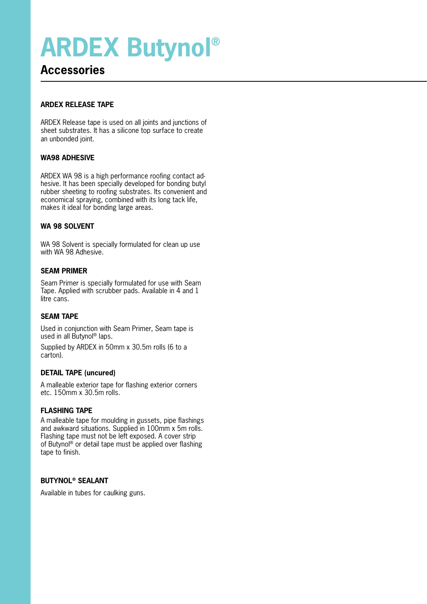### **Accessories**

#### **ARDEX RELEASE TAPE**

ARDEX Release tape is used on all joints and junctions of sheet substrates. It has a silicone top surface to create an unbonded joint.

#### **WA98 ADHESIVE**

ARDEX WA 98 is a high performance roofing contact adhesive. It has been specially developed for bonding butyl rubber sheeting to roofing substrates. Its convenient and economical spraying, combined with its long tack life, makes it ideal for bonding large areas.

#### **WA 98 SOLVENT**

WA 98 Solvent is specially formulated for clean up use with WA 98 Adhesive.

#### **SEAM PRIMER**

Seam Primer is specially formulated for use with Seam Tape. Applied with scrubber pads. Available in 4 and 1 litre cans.

#### **SEAM TAPE**

Used in conjunction with Seam Primer, Seam tape is used in all Butynol® laps.

Supplied by ARDEX in 50mm x 30.5m rolls (6 to a carton).

#### **DETAIL TAPE (uncured)**

A malleable exterior tape for flashing exterior corners etc. 150mm x 30.5m rolls.

#### **FLASHING TAPE**

A malleable tape for moulding in gussets, pipe flashings and awkward situations. Supplied in 100mm x 5m rolls. Flashing tape must not be left exposed. A cover strip of Butynol® or detail tape must be applied over flashing tape to finish.

#### **BUTYNOL® SEALANT**

Available in tubes for caulking guns.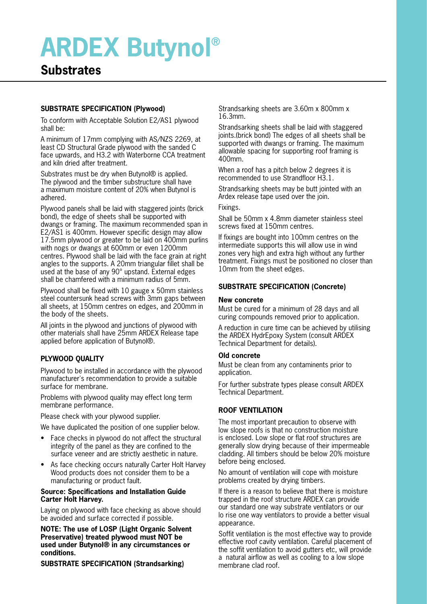### **Substrates**

#### **SUBSTRATE SPECIFICATION (Plywood)**

To conform with Acceptable Solution E2/AS1 plywood shall be:

A minimum of 17mm complying with AS/NZS 2269, at least CD Structural Grade plywood with the sanded C face upwards, and H3.2 with Waterborne CCA treatment and kiln dried after treatment.

Substrates must be dry when Butynol® is applied. The plywood and the timber substructure shall have a maximum moisture content of 20% when Butynol is adhered.

Plywood panels shall be laid with staggered joints (brick bond), the edge of sheets shall be supported with dwangs or framing. The maximum recommended span in E2/AS1 is 400mm. However specific design may allow 17.5mm plywood or greater to be laid on 400mm purlins with nogs or dwangs at 600mm or even 1200mm centres. Plywood shall be laid with the face grain at right angles to the supports. A 20mm triangular fillet shall be used at the base of any 90° upstand. External edges shall be chamfered with a minimum radius of 5mm.

Plywood shall be fixed with 10 gauge x 50mm stainless steel countersunk head screws with 3mm gaps between all sheets, at 150mm centres on edges, and 200mm in the body of the sheets.

All joints in the plywood and junctions of plywood with other materials shall have 25mm ARDEX Release tape applied before application of Butynol®.

#### **PLYWOOD QUALITY**

Plywood to be installed in accordance with the plywood manufacturer's recommendation to provide a suitable surface for membrane.

Problems with plywood quality may effect long term membrane performance.

Please check with your plywood supplier.

We have duplicated the position of one supplier below.

- Face checks in plywood do not affect the structural integrity of the panel as they are confined to the surface veneer and are strictly aesthetic in nature.
- As face checking occurs naturally Carter Holt Harvey Wood products does not consider them to be a manufacturing or product fault.

#### **Source: Specifications and Installation Guide Carter Holt Harvey.**

Laying on plywood with face checking as above should be avoided and surface corrected if possible.

**NOTE: The use of LOSP (Light Organic Solvent Preservative) treated plywood must NOT be used under Butynol® in any circumstances or conditions.**

**SUBSTRATE SPECIFICATION (Strandsarking)**

Strandsarking sheets are 3.60m x 800mm x 16.3mm.

Strandsarking sheets shall be laid with staggered joints.(brick bond) The edges of all sheets shall be supported with dwangs or framing. The maximum allowable spacing for supporting roof framing is 400mm.

When a roof has a pitch below 2 degrees it is recommended to use Strandfloor H3.1.

Strandsarking sheets may be butt jointed with an Ardex release tape used over the join.

Fixings.

Shall be 50mm x 4.8mm diameter stainless steel screws fixed at 150mm centres.

If fixings are bought into 100mm centres on the intermediate supports this will allow use in wind zones very high and extra high without any further treatment. Fixings must be positioned no closer than 10mm from the sheet edges.

#### **SUBSTRATE SPECIFICATION (Concrete)**

#### **New concrete**

Must be cured for a minimum of 28 days and all curing compounds removed prior to application.

A reduction in cure time can be achieved by utilising the ARDEX HydrEpoxy System (consult ARDEX Technical Department for details).

#### **Old concrete**

Must be clean from any contaminents prior to application.

For further substrate types please consult ARDEX Technical Department.

#### **ROOF VENTILATION**

The most important precaution to observe with low slope roofs is that no construction moisture is enclosed. Low slope or flat roof structures are generally slow drying because of their impermeable cladding. All timbers should be below 20% moisture before being enclosed.

No amount of ventilation will cope with moisture problems created by drying timbers.

If there is a reason to believe that there is moisture trapped in the roof structure ARDEX can provide our standard one way substrate ventilators or our lo rise one way ventilators to provide a better visual appearance.

Soffit ventilation is the most effective way to provide effective roof cavity ventilation. Careful placement of the soffit ventilation to avoid gutters etc, will provide a natural airflow as well as cooling to a low slope membrane clad roof.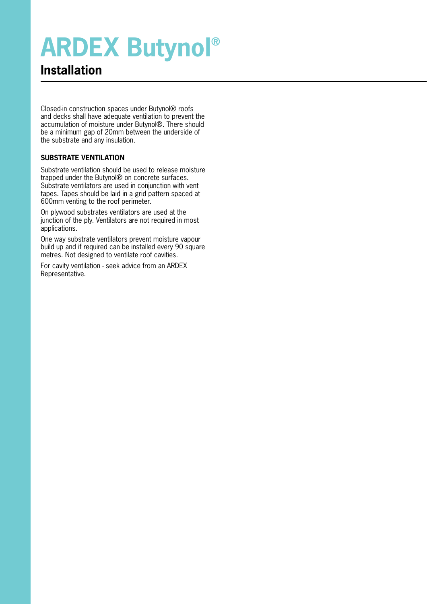## **Installation**

Closed-in construction spaces under Butynol® roofs and decks shall have adequate ventilation to prevent the accumulation of moisture under Butynol®. There should be a minimum gap of 20mm between the underside of the substrate and any insulation.

#### **SUBSTRATE VENTILATION**

Substrate ventilation should be used to release moisture trapped under the Butynol® on concrete surfaces. Substrate ventilators are used in conjunction with vent tapes. Tapes should be laid in a grid pattern spaced at 600mm venting to the roof perimeter.

On plywood substrates ventilators are used at the junction of the ply. Ventilators are not required in most applications.

One way substrate ventilators prevent moisture vapour build up and if required can be installed every 90 square metres. Not designed to ventilate roof cavities.

For cavity ventilation - seek advice from an ARDEX Representative.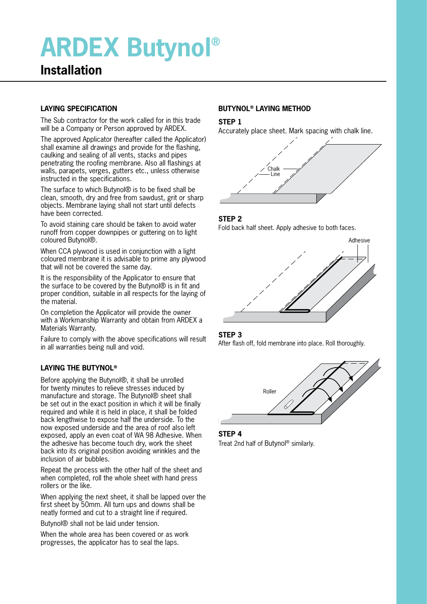### **Installation**

#### **LAYING SPECIFICATION**

The Sub contractor for the work called for in this trade will be a Company or Person approved by ARDEX.

The approved Applicator (hereafter called the Applicator) shall examine all drawings and provide for the flashing, caulking and sealing of all vents, stacks and pipes penetrating the roofing membrane. Also all flashings at walls, parapets, verges, gutters etc., unless otherwise instructed in the specifications.

The surface to which Butynol<sup>®</sup> is to be fixed shall be clean, smooth, dry and free from sawdust, grit or sharp objects. Membrane laying shall not start until defects have been corrected.

To avoid staining care should be taken to avoid water runoff from copper downpipes or guttering on to light coloured Butynol®.

When CCA plywood is used in conjunction with a light coloured membrane it is advisable to prime any plywood that will not be covered the same day.

It is the responsibility of the Applicator to ensure that the surface to be covered by the Butynol® is in fit and proper condition, suitable in all respects for the laying of the material.

On completion the Applicator will provide the owner with a Workmanship Warranty and obtain from ARDEX a Materials Warranty.

Failure to comply with the above specifications will result in all warranties being null and void.

#### **LAYING THE BUTYNOL®**

Before applying the Butynol®, it shall be unrolled for twenty minutes to relieve stresses induced by manufacture and storage. The Butynol® sheet shall be set out in the exact position in which it will be finally required and while it is held in place, it shall be folded back lengthwise to expose half the underside. To the now exposed underside and the area of roof also left exposed, apply an even coat of WA 98 Adhesive. When the adhesive has become touch dry, work the sheet back into its original position avoiding wrinkles and the inclusion of air bubbles.

Repeat the process with the other half of the sheet and when completed, roll the whole sheet with hand press rollers or the like.

When applying the next sheet, it shall be lapped over the first sheet by 50mm. All turn ups and downs shall be neatly formed and cut to a straight line if required.

Butynol® shall not be laid under tension.

When the whole area has been covered or as work progresses, the applicator has to seal the laps.

#### **BUTYNOL® LAYING METHOD**

#### **STEP 1**

Accurately place sheet. Mark spacing with chalk line.



#### **STEP 2**

Fold back half sheet. Apply adhesive to both faces.



#### **STEP 3**

After flash off, fold membrane into place. Roll thoroughly.



**STEP 4** Treat 2nd half of Butynol® similarly.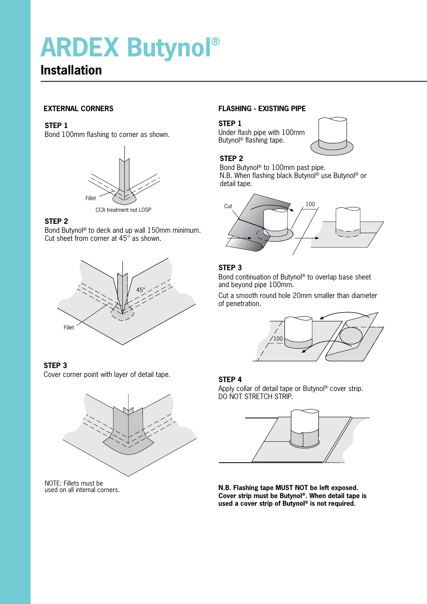## **Installation**

#### **EXTERNAL CORNERS**

#### **STEP 1**

Bond 100mm flashing to corner as shown.



CCA treatment not LOSP

#### **STEP 2**

Bond Butynol® to deck and up wall 150mm minimum. Cut sheet from corner at 45° as shown.



#### **STEP 3**

Cover corner point with layer of detail tape.



NOTE: Fillets must be used on all internal corners.

#### **FLASHING - EXISTING PIPE**

#### **STEP 1**

Under flash pipe with 100mm Butynol® flashing tape.



#### **STEP 2**

Bond Butynol® to 100mm past pipe. N.B. When flashing black Butynol® use Butynol® or detail tape.



#### **STEP 3**

Bond continuation of Butynol® to overlap base sheet and beyond pipe 100mm.

Cut a smooth round hole 20mm smaller than diameter of penetration.



#### **STEP 4**

Apply collar of detail tape or Butynol® cover strip. DO NOT STRETCH STRIP.



**N.B. Flashing tape MUST NOT be left exposed. Cover strip must be Butynol®. When detail tape is used a cover strip of Butynol® is not required.**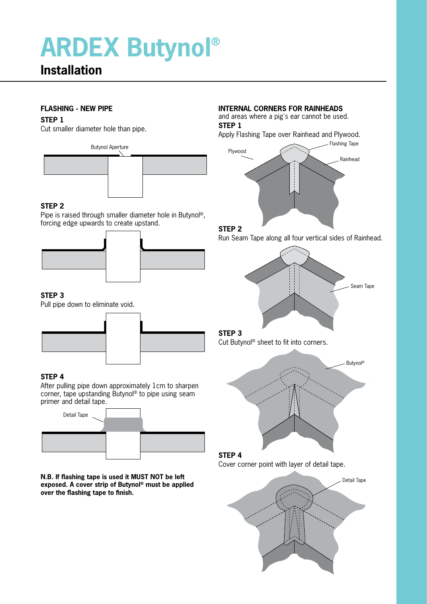## **Installation**

#### **FLASHING - NEW PIPE**

#### **STEP 1**

Cut smaller diameter hole than pipe.



#### **STEP 2**

Pipe is raised through smaller diameter hole in Butynol®, forcing edge upwards to create upstand.



#### **STEP 3**

Pull pipe down to eliminate void.



#### **STEP 4**

After pulling pipe down approximately 1cm to sharpen corner, tape upstanding Butynol® to pipe using seam primer and detail tape.



**N.B. If flashing tape is used it MUST NOT be left exposed. A cover strip of Butynol® must be applied over the flashing tape to finish.**

#### **INTERNAL CORNERS FOR RAINHEADS**

and areas where a pig's ear cannot be used. **STEP 1**

Apply Flashing Tape over Rainhead and Plywood.



#### **STEP 2**

Run Seam Tape along all four vertical sides of Rainhead.



#### **STEP 3**

Cut Butynol® sheet to fit into corners.



#### **STEP 4** Cover corner point with layer of detail tape.

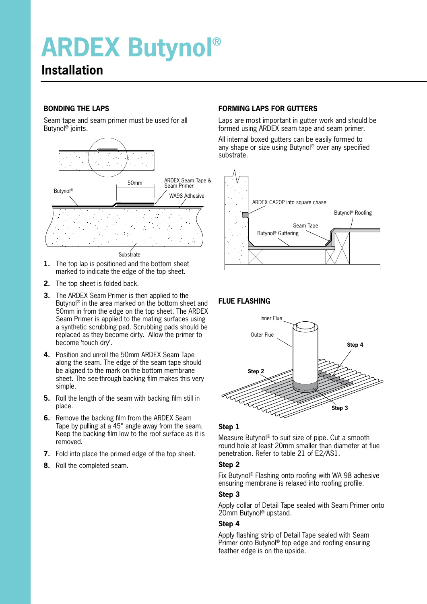### **Installation**

#### **BONDING THE LAPS**

Seam tape and seam primer must be used for all Butynol® joints.



**1.** The top lap is positioned and the bottom sheet marked to indicate the edge of the top sheet.

- **2.** The top sheet is folded back.
- **3.** The ARDEX Seam Primer is then applied to the Butynol® in the area marked on the bottom sheet and 50mm in from the edge on the top sheet. The ARDEX Seam Primer is applied to the mating surfaces using a synthetic scrubbing pad. Scrubbing pads should be replaced as they become dirty. Allow the primer to become 'touch dry'.
- **4.** Position and unroll the 50mm ARDEX Seam Tape along the seam. The edge of the seam tape should be aligned to the mark on the bottom membrane sheet. The see-through backing film makes this very simple.
- **5.** Roll the length of the seam with backing film still in place.
- **6.** Remove the backing film from the ARDEX Seam Tape by pulling at a 45° angle away from the seam. Keep the backing film low to the roof surface as it is removed.
- **7.** Fold into place the primed edge of the top sheet.
- **8.** Roll the completed seam.

#### **FORMING LAPS FOR GUTTERS**

Laps are most important in gutter work and should be formed using ARDEX seam tape and seam primer.

All internal boxed gutters can be easily formed to any shape or size using Butynol® over any specified substrate.



#### **FLUE FLASHING**



#### **Step 1**

Measure Butynol® to suit size of pipe. Cut a smooth round hole at least 20mm smaller than diameter at flue penetration. Refer to table 21 of E2/AS1.

#### **Step 2**

Fix Butynol® Flashing onto roofing with WA 98 adhesive ensuring membrane is relaxed into roofing profile.

#### **Step 3**

Apply collar of Detail Tape sealed with Seam Primer onto 20mm Butynol® upstand.

#### **Step 4**

Apply flashing strip of Detail Tape sealed with Seam Primer onto Butynol® top edge and roofing ensuring feather edge is on the upside.